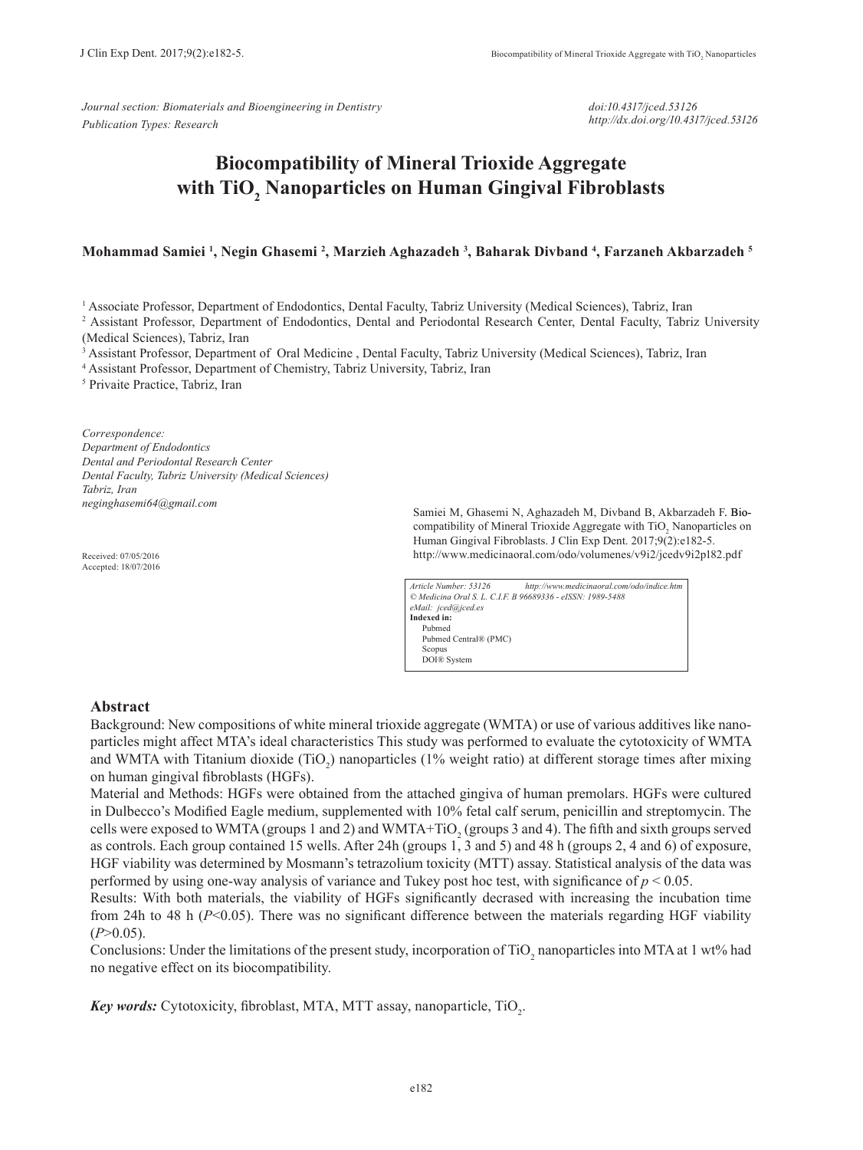*Journal section: Biomaterials and Bioengineering in Dentistry Publication Types: Research*

*doi:10.4317/jced.53126 http://dx.doi.org/10.4317/jced.53126*

# **Biocompatibility of Mineral Trioxide Aggregate with TiO2 Nanoparticles on Human Gingival Fibroblasts**

## **Mohammad Samiei 1 , Negin Ghasemi 2 , Marzieh Aghazadeh 3 , Baharak Divband 4 , Farzaneh Akbarzadeh 5**

<sup>1</sup> Associate Professor, Department of Endodontics, Dental Faculty, Tabriz University (Medical Sciences), Tabriz, Iran

<sup>2</sup> Assistant Professor, Department of Endodontics, Dental and Periodontal Research Center, Dental Faculty, Tabriz University (Medical Sciences), Tabriz, Iran

3 Assistant Professor, Department of Oral Medicine , Dental Faculty, Tabriz University (Medical Sciences), Tabriz, Iran

4 Assistant Professor, Department of Chemistry, Tabriz University, Tabriz, Iran

5 Privaite Practice, Tabriz, Iran

*Correspondence: Department of Endodontics Dental and Periodontal Research Center Dental Faculty, Tabriz University (Medical Sciences) Tabriz, Iran neginghasemi64@gmail.com* 

Received: 07/05/2016 Accepted: 18/07/2016

Samiei M, Ghasemi N, Aghazadeh M, Divband B, Akbarzadeh F. Biocompatibility of Mineral Trioxide Aggregate with  $TiO<sub>2</sub>$  Nanoparticles on Human Gingival Fibroblasts. J Clin Exp Dent. 2017;9(2):e182-5. http://www.medicinaoral.com/odo/volumenes/v9i2/jcedv9i2p182.pdf

*Article Number: 53126 http://www.medicinaoral.com/odo/indice.htm © Medicina Oral S. L. C.I.F. B 96689336 - eISSN: 1989-5488 eMail: jced@jced.es* **Indexed in:** Pubmed Pubmed Central® (PMC) **Scopus** DOI® System

### **Abstract**

Background: New compositions of white mineral trioxide aggregate (WMTA) or use of various additives like nanoparticles might affect MTA's ideal characteristics This study was performed to evaluate the cytotoxicity of WMTA and WMTA with Titanium dioxide  $(TiO_2)$  nanoparticles (1% weight ratio) at different storage times after mixing on human gingival fibroblasts (HGFs).

Material and Methods: HGFs were obtained from the attached gingiva of human premolars. HGFs were cultured in Dulbecco's Modified Eagle medium, supplemented with 10% fetal calf serum, penicillin and streptomycin. The cells were exposed to WMTA (groups 1 and 2) and WMTA+TiO<sub>2</sub> (groups 3 and 4). The fifth and sixth groups served as controls. Each group contained 15 wells. After 24h (groups 1, 3 and 5) and 48 h (groups 2, 4 and 6) of exposure, HGF viability was determined by Mosmann's tetrazolium toxicity (MTT) assay. Statistical analysis of the data was performed by using one-way analysis of variance and Tukey post hoc test, with significance of *p* < 0.05.

Results: With both materials, the viability of HGFs significantly decrased with increasing the incubation time from 24h to 48 h (*P*<0.05). There was no significant difference between the materials regarding HGF viability  $(P>0.05)$ .

Conclusions: Under the limitations of the present study, incorporation of  $TiO_2$  nanoparticles into MTA at 1 wt% had no negative effect on its biocompatibility.

Key words: Cytotoxicity, fibroblast, MTA, MTT assay, nanoparticle, TiO<sub>2</sub>.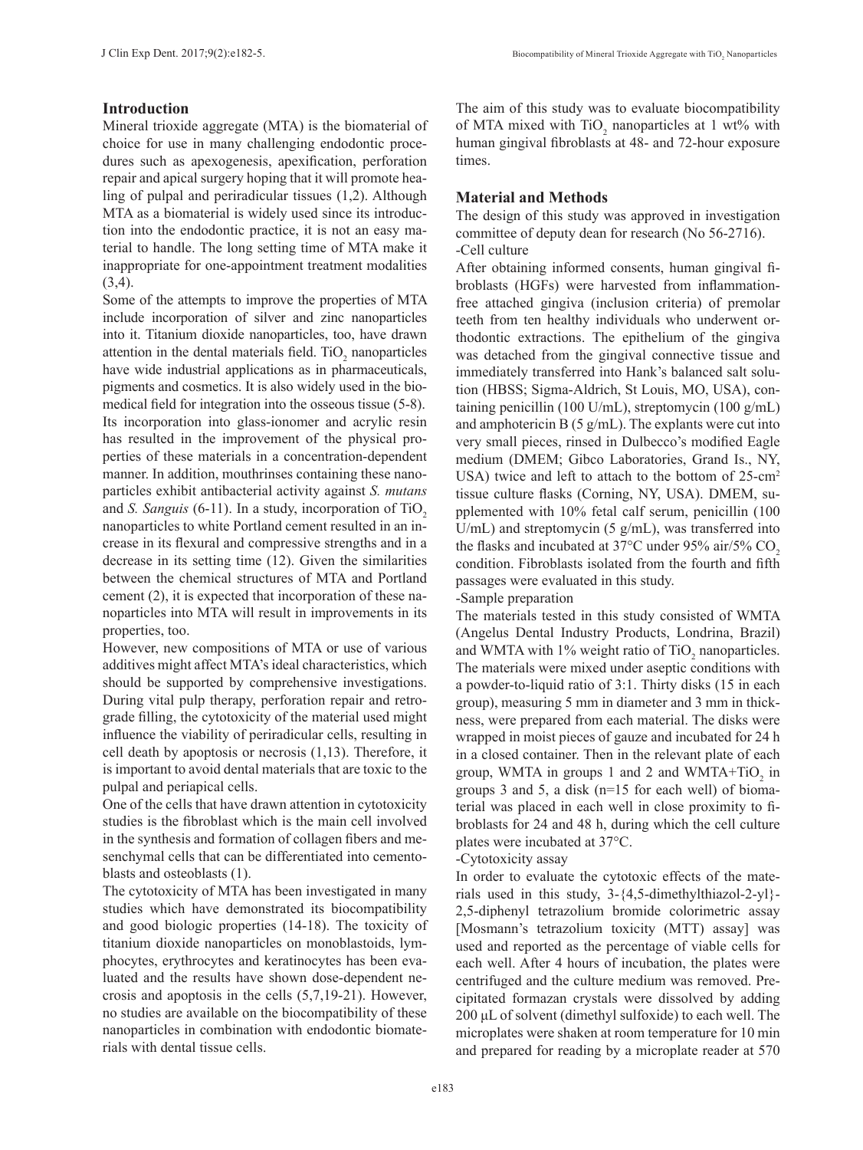# **Introduction**

Mineral trioxide aggregate (MTA) is the biomaterial of choice for use in many challenging endodontic procedures such as apexogenesis, apexification, perforation repair and apical surgery hoping that it will promote healing of pulpal and periradicular tissues (1,2). Although MTA as a biomaterial is widely used since its introduction into the endodontic practice, it is not an easy material to handle. The long setting time of MTA make it inappropriate for one-appointment treatment modalities (3,4).

Some of the attempts to improve the properties of MTA include incorporation of silver and zinc nanoparticles into it. Titanium dioxide nanoparticles, too, have drawn attention in the dental materials field.  $TiO<sub>2</sub>$  nanoparticles have wide industrial applications as in pharmaceuticals, pigments and cosmetics. It is also widely used in the biomedical field for integration into the osseous tissue (5-8). Its incorporation into glass-ionomer and acrylic resin has resulted in the improvement of the physical properties of these materials in a concentration-dependent manner. In addition, mouthrinses containing these nanoparticles exhibit antibacterial activity against *S. mutans*  and *S. Sanguis* (6-11). In a study, incorporation of TiO<sub>2</sub> nanoparticles to white Portland cement resulted in an increase in its flexural and compressive strengths and in a decrease in its setting time (12). Given the similarities between the chemical structures of MTA and Portland cement (2), it is expected that incorporation of these nanoparticles into MTA will result in improvements in its properties, too.

However, new compositions of MTA or use of various additives might affect MTA's ideal characteristics, which should be supported by comprehensive investigations. During vital pulp therapy, perforation repair and retrograde filling, the cytotoxicity of the material used might influence the viability of periradicular cells, resulting in cell death by apoptosis or necrosis (1,13). Therefore, it is important to avoid dental materials that are toxic to the pulpal and periapical cells.

One of the cells that have drawn attention in cytotoxicity studies is the fibroblast which is the main cell involved in the synthesis and formation of collagen fibers and mesenchymal cells that can be differentiated into cementoblasts and osteoblasts (1).

The cytotoxicity of MTA has been investigated in many studies which have demonstrated its biocompatibility and good biologic properties (14-18). The toxicity of titanium dioxide nanoparticles on monoblastoids, lymphocytes, erythrocytes and keratinocytes has been evaluated and the results have shown dose-dependent necrosis and apoptosis in the cells (5,7,19-21). However, no studies are available on the biocompatibility of these nanoparticles in combination with endodontic biomaterials with dental tissue cells.

The aim of this study was to evaluate biocompatibility of MTA mixed with  $TiO<sub>2</sub>$  nanoparticles at 1 wt% with human gingival fibroblasts at 48- and 72-hour exposure times.

# **Material and Methods**

The design of this study was approved in investigation committee of deputy dean for research (No 56-2716). -Cell culture

After obtaining informed consents, human gingival fibroblasts (HGFs) were harvested from inflammationfree attached gingiva (inclusion criteria) of premolar teeth from ten healthy individuals who underwent orthodontic extractions. The epithelium of the gingiva was detached from the gingival connective tissue and immediately transferred into Hank's balanced salt solution (HBSS; Sigma-Aldrich, St Louis, MO, USA), containing penicillin (100 U/mL), streptomycin (100 g/mL) and amphotericin B  $(5 g/mL)$ . The explants were cut into very small pieces, rinsed in Dulbecco's modified Eagle medium (DMEM; Gibco Laboratories, Grand Is., NY, USA) twice and left to attach to the bottom of 25-cm<sup>2</sup> tissue culture flasks (Corning, NY, USA). DMEM, supplemented with 10% fetal calf serum, penicillin (100  $U/mL$ ) and streptomycin (5 g/mL), was transferred into the flasks and incubated at  $37^{\circ}$ C under 95% air/5% CO<sub>2</sub> condition. Fibroblasts isolated from the fourth and fifth passages were evaluated in this study.

## -Sample preparation

The materials tested in this study consisted of WMTA (Angelus Dental Industry Products, Londrina, Brazil) and WMTA with  $1\%$  weight ratio of TiO<sub>2</sub> nanoparticles. The materials were mixed under aseptic conditions with a powder-to-liquid ratio of 3:1. Thirty disks (15 in each group), measuring 5 mm in diameter and 3 mm in thickness, were prepared from each material. The disks were wrapped in moist pieces of gauze and incubated for 24 h in a closed container. Then in the relevant plate of each group, WMTA in groups 1 and 2 and WMTA+Ti $O_2$  in groups 3 and 5, a disk (n=15 for each well) of biomaterial was placed in each well in close proximity to fibroblasts for 24 and 48 h, during which the cell culture plates were incubated at 37°C.

# -Cytotoxicity assay

In order to evaluate the cytotoxic effects of the materials used in this study, 3-{4,5-dimethylthiazol-2-yl}- 2,5-diphenyl tetrazolium bromide colorimetric assay [Mosmann's tetrazolium toxicity (MTT) assay] was used and reported as the percentage of viable cells for each well. After 4 hours of incubation, the plates were centrifuged and the culture medium was removed. Precipitated formazan crystals were dissolved by adding 200 μL of solvent (dimethyl sulfoxide) to each well. The microplates were shaken at room temperature for 10 min and prepared for reading by a microplate reader at 570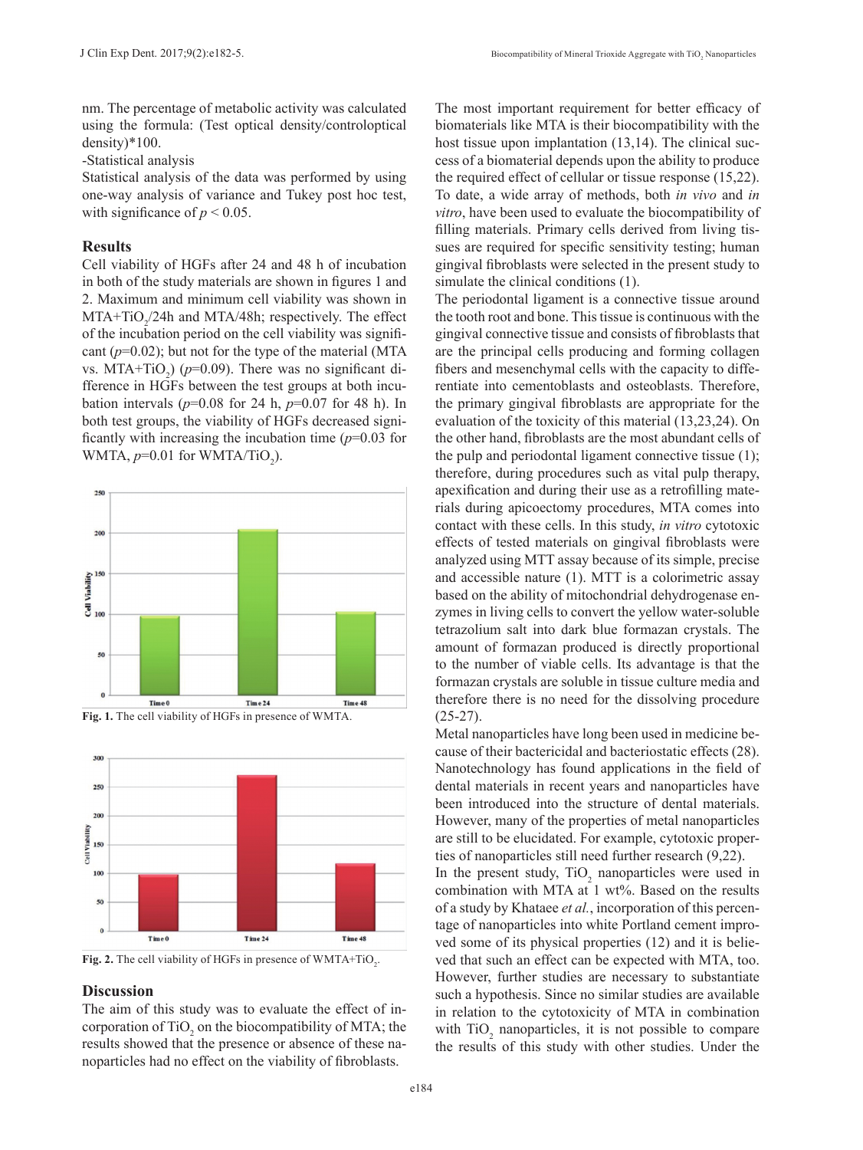nm. The percentage of metabolic activity was calculated using the formula: (Test optical density/controloptical density)\*100.

-Statistical analysis

Statistical analysis of the data was performed by using one-way analysis of variance and Tukey post hoc test, with significance of  $p < 0.05$ .

### **Results**

Cell viability of HGFs after 24 and 48 h of incubation in both of the study materials are shown in figures 1 and 2. Maximum and minimum cell viability was shown in  $MTA+TiO<sub>2</sub>/24h$  and  $MTA/48h$ ; respectively. The effect of the incubation period on the cell viability was significant  $(p=0.02)$ ; but not for the type of the material (MTA) vs. MTA+TiO<sub>2</sub>) ( $p=0.09$ ). There was no significant difference in HGFs between the test groups at both incubation intervals ( $p=0.08$  for 24 h,  $p=0.07$  for 48 h). In both test groups, the viability of HGFs decreased significantly with increasing the incubation time  $(p=0.03$  for WMTA,  $p=0.01$  for WMTA/TiO<sub>2</sub>).







**Fig. 2.** The cell viability of HGFs in presence of  $WMTA+TiO<sub>2</sub>$ .

### **Discussion**

The aim of this study was to evaluate the effect of incorporation of  $TiO<sub>2</sub>$  on the biocompatibility of MTA; the results showed that the presence or absence of these nanoparticles had no effect on the viability of fibroblasts.

The most important requirement for better efficacy of biomaterials like MTA is their biocompatibility with the host tissue upon implantation (13,14). The clinical success of a biomaterial depends upon the ability to produce the required effect of cellular or tissue response (15,22). To date, a wide array of methods, both *in vivo* and *in vitro*, have been used to evaluate the biocompatibility of filling materials. Primary cells derived from living tissues are required for specific sensitivity testing; human gingival fibroblasts were selected in the present study to simulate the clinical conditions (1).

The periodontal ligament is a connective tissue around the tooth root and bone. This tissue is continuous with the gingival connective tissue and consists of fibroblasts that are the principal cells producing and forming collagen fibers and mesenchymal cells with the capacity to differentiate into cementoblasts and osteoblasts. Therefore, the primary gingival fibroblasts are appropriate for the evaluation of the toxicity of this material (13,23,24). On the other hand, fibroblasts are the most abundant cells of the pulp and periodontal ligament connective tissue (1); therefore, during procedures such as vital pulp therapy, apexification and during their use as a retrofilling materials during apicoectomy procedures, MTA comes into contact with these cells. In this study, *in vitro* cytotoxic effects of tested materials on gingival fibroblasts were analyzed using MTT assay because of its simple, precise and accessible nature (1). MTT is a colorimetric assay based on the ability of mitochondrial dehydrogenase enzymes in living cells to convert the yellow water-soluble tetrazolium salt into dark blue formazan crystals. The amount of formazan produced is directly proportional to the number of viable cells. Its advantage is that the formazan crystals are soluble in tissue culture media and therefore there is no need for the dissolving procedure  $(25-27)$ .

Metal nanoparticles have long been used in medicine because of their bactericidal and bacteriostatic effects (28). Nanotechnology has found applications in the field of dental materials in recent years and nanoparticles have been introduced into the structure of dental materials. However, many of the properties of metal nanoparticles are still to be elucidated. For example, cytotoxic properties of nanoparticles still need further research (9,22).

In the present study,  $TiO<sub>2</sub>$  nanoparticles were used in combination with MTA at 1 wt%. Based on the results of a study by Khataee *et al.*, incorporation of this percentage of nanoparticles into white Portland cement improved some of its physical properties (12) and it is believed that such an effect can be expected with MTA, too. However, further studies are necessary to substantiate such a hypothesis. Since no similar studies are available in relation to the cytotoxicity of MTA in combination with  $TiO<sub>2</sub>$  nanoparticles, it is not possible to compare the results of this study with other studies. Under the